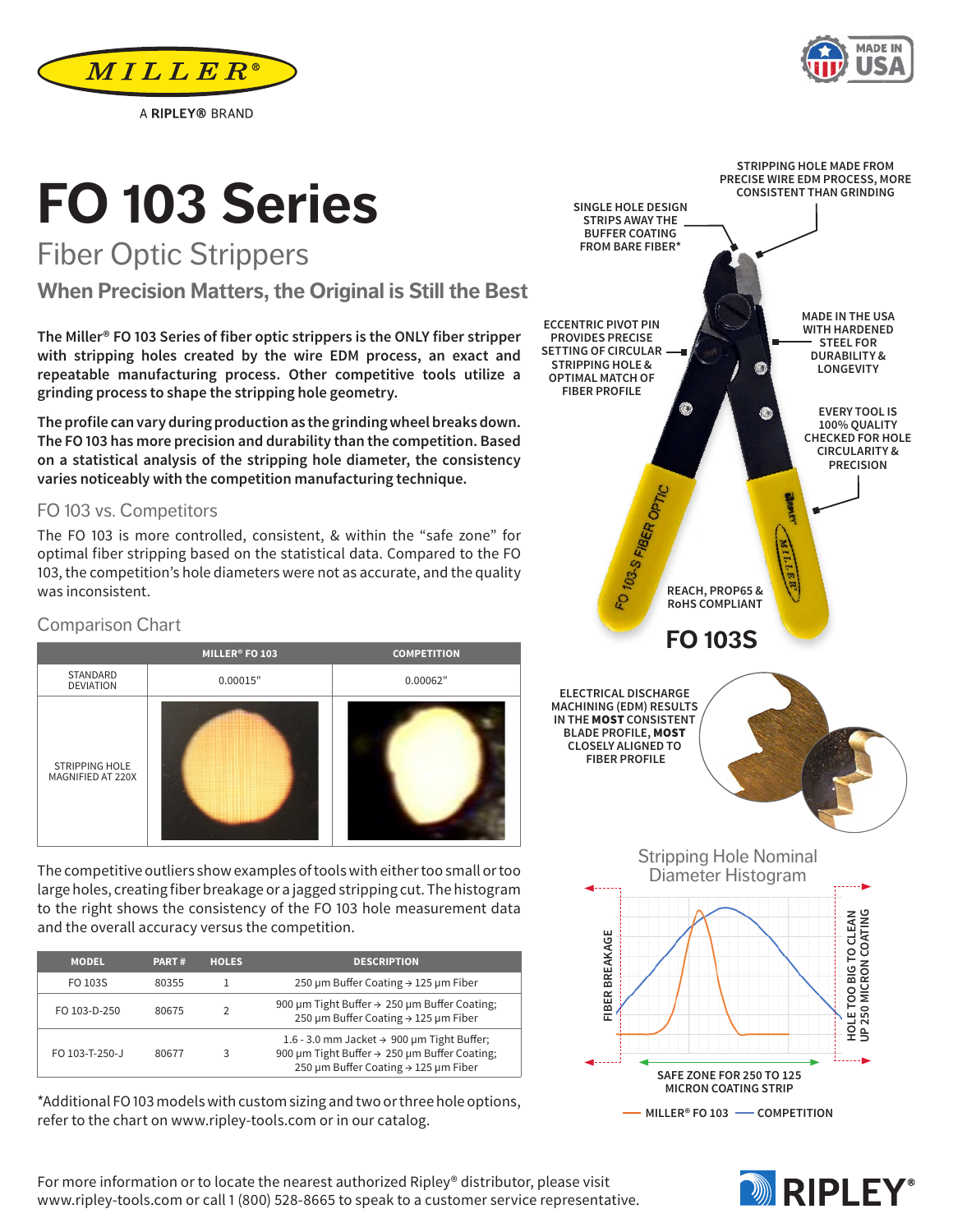For more information or to locate the nearest authorized Ripley® distributor, please visit www.ripley-tools.com or call 1 (800) 528-8665 to speak to a customer service representative.

#### Comparison Chart

## **MILLER® FO 103 COMPETITION** STANDARD<br>DEVIATION DEVIATION 0.00015″ 0.00062″ STRIPPING HOLE MAGNIFIED AT 220X

The competitive outliers show examples of tools with either too small or too large holes, creating fiber breakage or a jagged stripping cut. The histogram to the right shows the consistency of the FO 103 hole measurement data and the overall accuracy versus the competition.

| <b>MODEL</b>   | <b>PART#</b> | <b>HOLES</b>  | <b>DESCRIPTION</b>                                                                                                                             |
|----------------|--------------|---------------|------------------------------------------------------------------------------------------------------------------------------------------------|
| FO 103S        | 80355        |               | 250 µm Buffer Coating $\rightarrow$ 125 µm Fiber                                                                                               |
| FO 103-D-250   | 80675        | $\mathcal{P}$ | 900 µm Tight Buffer → 250 µm Buffer Coating;<br>250 µm Buffer Coating → 125 µm Fiber                                                           |
| FO 103-T-250-J | 80677        | ર             | 1.6 - 3.0 mm Jacket $\rightarrow$ 900 µm Tight Buffer;<br>900 µm Tight Buffer → 250 µm Buffer Coating;<br>250 µm Buffer Coating → 125 µm Fiber |

\*Additional FO 103 models with custom sizing and two or three hole options, refer to the chart on www.ripley-tools.com or in our catalog.

**The Miller® FO 103 Series of fiber optic strippers is the ONLY fiber stripper with stripping holes created by the wire EDM process, an exact and repeatable manufacturing process. Other competitive tools utilize a grinding process to shape the stripping hole geometry.** 

**The profile can vary during production as the grinding wheel breaks down. The FO 103 has more precision and durability than the competition. Based on a statistical analysis of the stripping hole diameter, the consistency varies noticeably with the competition manufacturing technique.**

#### FO 103 vs. Competitors

The FO 103 is more controlled, consistent, & within the "safe zone" for optimal fiber stripping based on the statistical data. Compared to the FO 103, the competition's hole diameters were not as accurate, and the quality was inconsistent.

# **FO 103 Series** Fiber Optic Strippers

A RIPLEY® BRAND

**When Precision Matters, the Original is Still the Best**